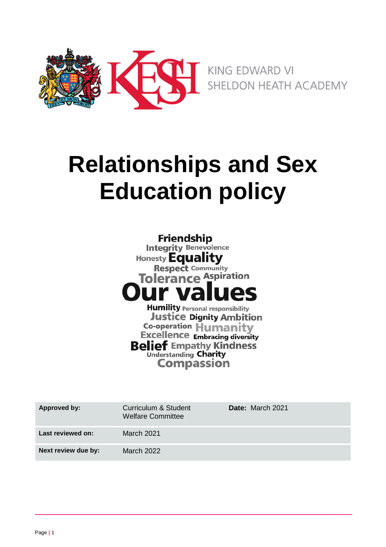

# **Relationships and Sex Education policy**

**Friendship Integrity Benevolence** Honesty **Equality Respect Community Tolerance Aspiration Humility Personal responsibility Justice Dignity Ambition Co-operation Humanity Excellence Embracing diversity** 

**Belief Empathy Kindness Understanding Charity** 

**Compassion** 

| Approved by:        | Curriculum & Student<br><b>Welfare Committee</b> | <b>Date:</b> March 2021 |
|---------------------|--------------------------------------------------|-------------------------|
| Last reviewed on:   | <b>March 2021</b>                                |                         |
| Next review due by: | March 2022                                       |                         |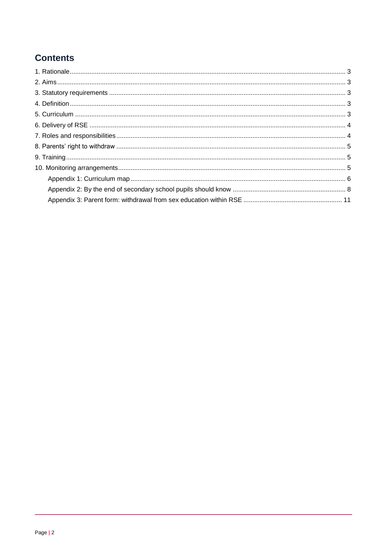# **Contents**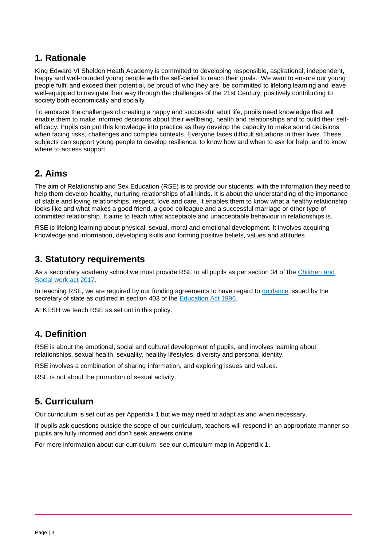## <span id="page-2-0"></span>**1. Rationale**

King Edward VI Sheldon Heath Academy is committed to developing responsible, aspirational, independent, happy and well-rounded young people with the self-belief to reach their goals. We want to ensure our young people fulfil and exceed their potential, be proud of who they are, be committed to lifelong learning and leave well-equipped to navigate their way through the challenges of the 21st Century; positively contributing to society both economically and socially.

To embrace the challenges of creating a happy and successful adult life, pupils need knowledge that will enable them to make informed decisions about their wellbeing, health and relationships and to build their selfefficacy. Pupils can put this knowledge into practice as they develop the capacity to make sound decisions when facing risks, challenges and complex contexts. Everyone faces difficult situations in their lives. These subjects can support young people to develop resilience, to know how and when to ask for help, and to know where to access support.

## <span id="page-2-1"></span>**2. Aims**

The aim of Relationship and Sex Education (RSE) is to provide our students, with the information they need to help them develop healthy, nurturing relationships of all kinds. It is about the understanding of the importance of stable and loving relationships, respect, love and care. It enables them to know what a healthy relationship looks like and what makes a good friend, a good colleague and a successful marriage or other type of committed relationship. It aims to teach what acceptable and unacceptable behaviour in relationships is.

RSE is lifelong learning about physical, sexual, moral and emotional development. It involves acquiring knowledge and information, developing skills and forming positive beliefs, values and attitudes.

## <span id="page-2-2"></span>**3. Statutory requirements**

As a secondary academy school we must provide RSE to all pupils as per section 34 of the Children and [Social work act 2017.](http://www.legislation.gov.uk/ukpga/2017/16/section/34/enacted)

In teaching RSE, we are required by our funding agreements to have regard to [guidance](https://www.gov.uk/government/consultations/relationships-and-sex-education-and-health-education) issued by the secretary of state as outlined in section 403 of the [Education Act 1996.](http://www.legislation.gov.uk/ukpga/1996/56/contents)

At KESH we teach RSE as set out in this policy.

## <span id="page-2-3"></span>**4. Definition**

RSE is about the emotional, social and cultural development of pupils, and involves learning about relationships, sexual health, sexuality, healthy lifestyles, diversity and personal identity.

RSE involves a combination of sharing information, and exploring issues and values.

RSE is not about the promotion of sexual activity.

## <span id="page-2-4"></span>**5. Curriculum**

Our curriculum is set out as per Appendix 1 but we may need to adapt as and when necessary.

If pupils ask questions outside the scope of our curriculum, teachers will respond in an appropriate manner so pupils are fully informed and don't seek answers online

For more information about our curriculum, see our curriculum map in Appendix 1.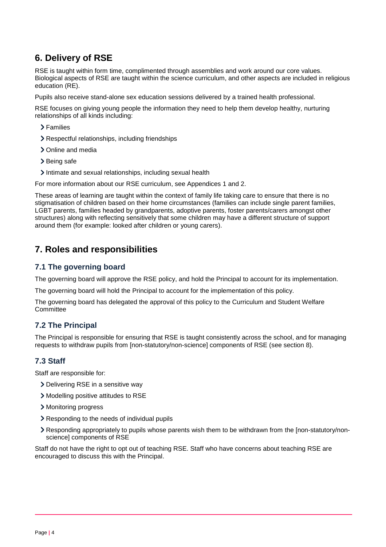## <span id="page-3-0"></span>**6. Delivery of RSE**

RSE is taught within form time, complimented through assemblies and work around our core values. Biological aspects of RSE are taught within the science curriculum, and other aspects are included in religious education (RE).

Pupils also receive stand-alone sex education sessions delivered by a trained health professional.

RSE focuses on giving young people the information they need to help them develop healthy, nurturing relationships of all kinds including:

- > Families
- Respectful relationships, including friendships
- > Online and media
- > Being safe
- Intimate and sexual relationships, including sexual health

For more information about our RSE curriculum, see Appendices 1 and 2.

These areas of learning are taught within the context of family life taking care to ensure that there is no stigmatisation of children based on their home circumstances (families can include single parent families, LGBT parents, families headed by grandparents, adoptive parents, foster parents/carers amongst other structures) along with reflecting sensitively that some children may have a different structure of support around them (for example: looked after children or young carers).

## <span id="page-3-1"></span>**7. Roles and responsibilities**

#### **7.1 The governing board**

The governing board will approve the RSE policy, and hold the Principal to account for its implementation.

The governing board will hold the Principal to account for the implementation of this policy.

The governing board has delegated the approval of this policy to the Curriculum and Student Welfare **Committee** 

#### **7.2 The Principal**

The Principal is responsible for ensuring that RSE is taught consistently across the school, and for managing requests to withdraw pupils from [non-statutory/non-science] components of RSE (see section 8).

#### **7.3 Staff**

Staff are responsible for:

- Delivering RSE in a sensitive way
- Modelling positive attitudes to RSE
- > Monitoring progress
- Responding to the needs of individual pupils
- Responding appropriately to pupils whose parents wish them to be withdrawn from the [non-statutory/nonscience] components of RSE

Staff do not have the right to opt out of teaching RSE. Staff who have concerns about teaching RSE are encouraged to discuss this with the Principal.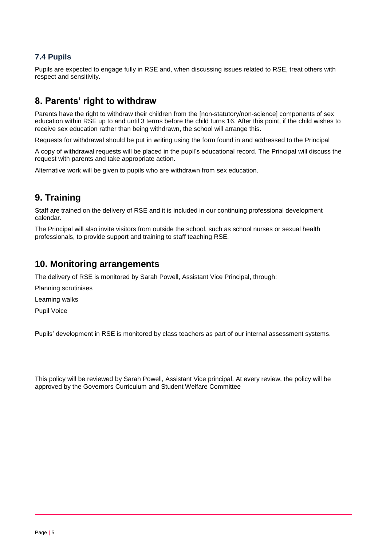#### **7.4 Pupils**

Pupils are expected to engage fully in RSE and, when discussing issues related to RSE, treat others with respect and sensitivity.

## <span id="page-4-0"></span>**8. Parents' right to withdraw**

Parents have the right to withdraw their children from the [non-statutory/non-science] components of sex education within RSE up to and until 3 terms before the child turns 16. After this point, if the child wishes to receive sex education rather than being withdrawn, the school will arrange this.

Requests for withdrawal should be put in writing using the form found in and addressed to the Principal

A copy of withdrawal requests will be placed in the pupil's educational record. The Principal will discuss the request with parents and take appropriate action.

Alternative work will be given to pupils who are withdrawn from sex education.

## <span id="page-4-1"></span>**9. Training**

Staff are trained on the delivery of RSE and it is included in our continuing professional development calendar.

The Principal will also invite visitors from outside the school, such as school nurses or sexual health professionals, to provide support and training to staff teaching RSE.

#### <span id="page-4-2"></span>**10. Monitoring arrangements**

The delivery of RSE is monitored by Sarah Powell, Assistant Vice Principal, through:

Planning scrutinises

Learning walks

Pupil Voice

Pupils' development in RSE is monitored by class teachers as part of our internal assessment systems.

This policy will be reviewed by Sarah Powell, Assistant Vice principal. At every review, the policy will be approved by the Governors Curriculum and Student Welfare Committee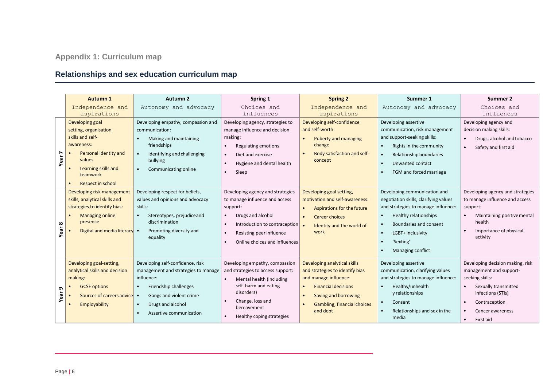# **Relationships and sex education curriculum map**

<span id="page-5-0"></span>

|                        | <b>Autumn 1</b>                                                                                                                                                                    | Autumn 2                                                                                                                                                                                                            | Spring 1                                                                                                                                                                                                                                              | <b>Spring 2</b>                                                                                                                                                                                                            | Summer 1                                                                                                                                                                                                                                                      | Summer 2                                                                                                                                                                                                |
|------------------------|------------------------------------------------------------------------------------------------------------------------------------------------------------------------------------|---------------------------------------------------------------------------------------------------------------------------------------------------------------------------------------------------------------------|-------------------------------------------------------------------------------------------------------------------------------------------------------------------------------------------------------------------------------------------------------|----------------------------------------------------------------------------------------------------------------------------------------------------------------------------------------------------------------------------|---------------------------------------------------------------------------------------------------------------------------------------------------------------------------------------------------------------------------------------------------------------|---------------------------------------------------------------------------------------------------------------------------------------------------------------------------------------------------------|
|                        | Independence and                                                                                                                                                                   | Autonomy and advocacy                                                                                                                                                                                               | Choices and                                                                                                                                                                                                                                           | Independence and                                                                                                                                                                                                           | Autonomy and advocacy                                                                                                                                                                                                                                         | Choices and                                                                                                                                                                                             |
|                        | aspirations                                                                                                                                                                        |                                                                                                                                                                                                                     | influences                                                                                                                                                                                                                                            | aspirations                                                                                                                                                                                                                |                                                                                                                                                                                                                                                               | influences                                                                                                                                                                                              |
| N<br>Year <sup>-</sup> | Developing goal<br>setting, organisation<br>skills and self-<br>awareness:<br>Personal identity and<br>values<br>Learning skills and<br>teamwork<br>Respect in school<br>$\bullet$ | Developing empathy, compassion and<br>communication:<br>Making and maintaining<br>friendships<br>Identifying and challenging<br>bullying<br>Communicating online<br>$\bullet$                                       | Developing agency, strategies to<br>manage influence and decision<br>making:<br><b>Regulating emotions</b><br>Diet and exercise<br>$\bullet$<br>Hygiene and dental health<br>$\bullet$<br>Sleep<br>$\bullet$                                          | Developing self-confidence<br>and self-worth:<br>Puberty and managing<br>$\bullet$<br>change<br>Body satisfaction and self-<br>concept                                                                                     | Developing assertive<br>communication, risk management<br>and support-seeking skills:<br>Rights in the community<br>$\bullet$<br>Relationship boundaries<br>Unwanted contact<br>FGM and forced marriage                                                       | Developing agency and<br>decision making skills:<br>Drugs, alcohol and tobacco<br>Safety and first aid<br>$\bullet$                                                                                     |
| $\infty$<br>Year       | Developing risk management<br>skills, analytical skills and<br>strategies to identify bias:<br><b>Managing online</b><br>presence<br>Digital and media literacy •                  | Developing respect for beliefs,<br>values and opinions and advocacy<br>skills:<br>Stereotypes, prejudice and<br>$\bullet$<br>discrimination<br>Promoting diversity and<br>equality                                  | Developing agency and strategies<br>to manage influence and access<br>support:<br>Drugs and alcohol<br>$\bullet$<br>$\bullet$<br>Introduction to contraception<br>Resisting peer influence<br>$\bullet$<br>Online choices and influences<br>$\bullet$ | Developing goal setting,<br>motivation and self-awareness:<br>Aspirations for the future<br>$\bullet$<br>Career choices<br>$\bullet$<br>Identity and the world of<br>work                                                  | Developing communication and<br>negotiation skills, clarifying values<br>and strategies to manage influence:<br>Healthy relationships<br>$\bullet$<br>Boundaries and consent<br>LGBT+ inclusivity<br>$\bullet$<br>'Sexting'<br>$\bullet$<br>Managing conflict | Developing agency and strategies<br>to manage influence and access<br>support:<br>Maintaining positive mental<br>health<br>Importance of physical<br>$\bullet$<br>activity                              |
| ഐ<br>Year              | Developing goal-setting,<br>analytical skills and decision<br>making:<br><b>GCSE options</b><br>Sources of careers advice<br>Employability                                         | Developing self-confidence, risk<br>management and strategies to manage<br>influence:<br>Friendship challenges<br>$\bullet$<br>Gangs and violent crime<br>Drugs and alcohol<br>Assertive communication<br>$\bullet$ | Developing empathy, compassion<br>and strategies to access support:<br>Mental health (including<br>$\bullet$<br>self- harm and eating<br>disorders)<br>Change, loss and<br>bereavement<br>Healthy coping strategies<br>$\bullet$                      | Developing analytical skills<br>and strategies to identify bias<br>and manage influence:<br><b>Financial decisions</b><br>$\bullet$<br>Saving and borrowing<br>$\bullet$<br><b>Gambling, financial choices</b><br>and debt | Developing assertive<br>communication, clarifying values<br>and strategies to manage influence:<br>Healthy/unhealth<br>y relationships<br>Consent<br>$\bullet$<br>Relationships and sex in the<br>media                                                       | Developing decision making, risk<br>management and support-<br>seeking skills:<br>Sexually transmitted<br>infections (STIs)<br>Contraception<br>$\bullet$<br>Cancer awareness<br>First aid<br>$\bullet$ |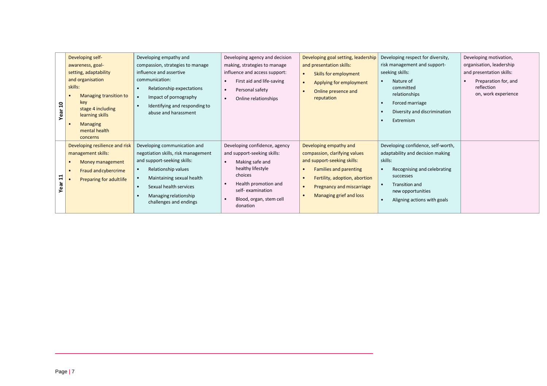| Year 10    | Developing self-<br>awareness, goal-<br>setting, adaptability<br>and organisation<br>skills:<br>Managing transition to<br>$\bullet$<br>key<br>stage 4 including<br>learning skills<br><b>Managing</b><br>mental health<br>concerns | Developing empathy and<br>compassion, strategies to manage<br>influence and assertive<br>communication:<br>Relationship expectations<br>$\bullet$<br>Impact of pornography<br>$\bullet$<br>Identifying and responding to<br>abuse and harassment                                        | Developing agency and decision<br>making, strategies to manage<br>influence and access support:<br>First aid and life-saving<br>$\bullet$<br>Personal safety<br>$\bullet$<br>Online relationships<br>$\bullet$                            | Developing goal setting, leadership<br>and presentation skills:<br>Skills for employment<br>$\bullet$<br>Applying for employment<br>$\bullet$<br>Online presence and<br>$\bullet$<br>reputation                                                                             | Developing respect for diversity,<br>risk management and support-<br>seeking skills:<br>Nature of<br>$\bullet$<br>committed<br>relationships<br>Forced marriage<br>$\bullet$<br>Diversity and discrimination<br>$\bullet$<br>Extremism<br>$\bullet$ | Developing motivation,<br>organisation, leadership<br>and presentation skills:<br>Preparation for, and<br>reflection<br>on, work experience |
|------------|------------------------------------------------------------------------------------------------------------------------------------------------------------------------------------------------------------------------------------|-----------------------------------------------------------------------------------------------------------------------------------------------------------------------------------------------------------------------------------------------------------------------------------------|-------------------------------------------------------------------------------------------------------------------------------------------------------------------------------------------------------------------------------------------|-----------------------------------------------------------------------------------------------------------------------------------------------------------------------------------------------------------------------------------------------------------------------------|-----------------------------------------------------------------------------------------------------------------------------------------------------------------------------------------------------------------------------------------------------|---------------------------------------------------------------------------------------------------------------------------------------------|
| Year 11    | Developing resilience and risk<br>management skills:<br>Money management<br>$\bullet$<br>Fraud and cybercrime<br>$\bullet$<br>Preparing for adultlife                                                                              | Developing communication and<br>negotiation skills, risk management<br>and support-seeking skills:<br>Relationship values<br>$\bullet$<br>Maintaining sexual health<br>$\bullet$<br>Sexual health services<br>$\bullet$<br>Managing relationship<br>$\bullet$<br>challenges and endings | Developing confidence, agency<br>and support-seeking skills:<br>Making safe and<br>$\bullet$<br>healthy lifestyle<br>choices<br>Health promotion and<br>$\bullet$<br>self-examination<br>Blood, organ, stem cell<br>$\bullet$<br>donation | Developing empathy and<br>compassion, clarifying values<br>and support-seeking skills:<br><b>Families and parenting</b><br>$\bullet$<br>Fertility, adoption, abortion<br>$\bullet$<br><b>Pregnancy and miscarriage</b><br>$\bullet$<br>Managing grief and loss<br>$\bullet$ | Developing confidence, self-worth,<br>adaptability and decision making<br>skills:<br>Recognising and celebrating<br>$\bullet$<br>successes<br>Transition and<br>$\bullet$<br>new opportunities<br>Aligning actions with goals<br>$\bullet$          |                                                                                                                                             |
|            |                                                                                                                                                                                                                                    |                                                                                                                                                                                                                                                                                         |                                                                                                                                                                                                                                           |                                                                                                                                                                                                                                                                             |                                                                                                                                                                                                                                                     |                                                                                                                                             |
|            |                                                                                                                                                                                                                                    |                                                                                                                                                                                                                                                                                         |                                                                                                                                                                                                                                           |                                                                                                                                                                                                                                                                             |                                                                                                                                                                                                                                                     |                                                                                                                                             |
| Page   $7$ |                                                                                                                                                                                                                                    |                                                                                                                                                                                                                                                                                         |                                                                                                                                                                                                                                           |                                                                                                                                                                                                                                                                             |                                                                                                                                                                                                                                                     |                                                                                                                                             |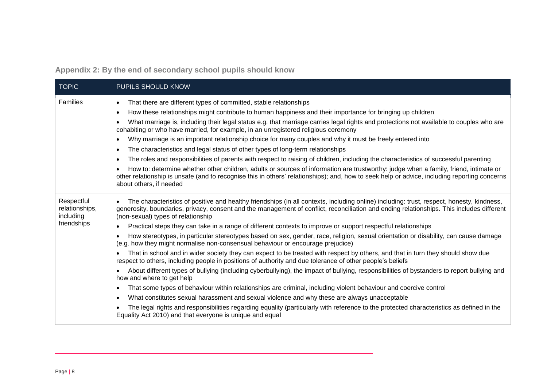**Appendix 2: By the end of secondary school pupils should know**

<span id="page-7-0"></span>

| <b>TOPIC</b>                              | PUPILS SHOULD KNOW                                                                                                                                                                                                                                                                                                                        |
|-------------------------------------------|-------------------------------------------------------------------------------------------------------------------------------------------------------------------------------------------------------------------------------------------------------------------------------------------------------------------------------------------|
| Families                                  | That there are different types of committed, stable relationships<br>$\bullet$                                                                                                                                                                                                                                                            |
|                                           | How these relationships might contribute to human happiness and their importance for bringing up children<br>$\bullet$                                                                                                                                                                                                                    |
|                                           | What marriage is, including their legal status e.g. that marriage carries legal rights and protections not available to couples who are<br>$\bullet$<br>cohabiting or who have married, for example, in an unregistered religious ceremony                                                                                                |
|                                           | Why marriage is an important relationship choice for many couples and why it must be freely entered into<br>$\bullet$                                                                                                                                                                                                                     |
|                                           | The characteristics and legal status of other types of long-term relationships<br>$\bullet$                                                                                                                                                                                                                                               |
|                                           | The roles and responsibilities of parents with respect to raising of children, including the characteristics of successful parenting<br>$\bullet$                                                                                                                                                                                         |
|                                           | How to: determine whether other children, adults or sources of information are trustworthy: judge when a family, friend, intimate or<br>$\bullet$<br>other relationship is unsafe (and to recognise this in others' relationships); and, how to seek help or advice, including reporting concerns<br>about others, if needed              |
| Respectful<br>relationships,<br>including | The characteristics of positive and healthy friendships (in all contexts, including online) including: trust, respect, honesty, kindness,<br>$\bullet$<br>generosity, boundaries, privacy, consent and the management of conflict, reconciliation and ending relationships. This includes different<br>(non-sexual) types of relationship |
| friendships                               | Practical steps they can take in a range of different contexts to improve or support respectful relationships                                                                                                                                                                                                                             |
|                                           | How stereotypes, in particular stereotypes based on sex, gender, race, religion, sexual orientation or disability, can cause damage<br>(e.g. how they might normalise non-consensual behaviour or encourage prejudice)                                                                                                                    |
|                                           | That in school and in wider society they can expect to be treated with respect by others, and that in turn they should show due<br>respect to others, including people in positions of authority and due tolerance of other people's beliefs                                                                                              |
|                                           | About different types of bullying (including cyberbullying), the impact of bullying, responsibilities of bystanders to report bullying and<br>$\bullet$<br>how and where to get help                                                                                                                                                      |
|                                           | That some types of behaviour within relationships are criminal, including violent behaviour and coercive control<br>$\bullet$                                                                                                                                                                                                             |
|                                           | What constitutes sexual harassment and sexual violence and why these are always unacceptable<br>$\bullet$                                                                                                                                                                                                                                 |
|                                           | The legal rights and responsibilities regarding equality (particularly with reference to the protected characteristics as defined in the<br>Equality Act 2010) and that everyone is unique and equal                                                                                                                                      |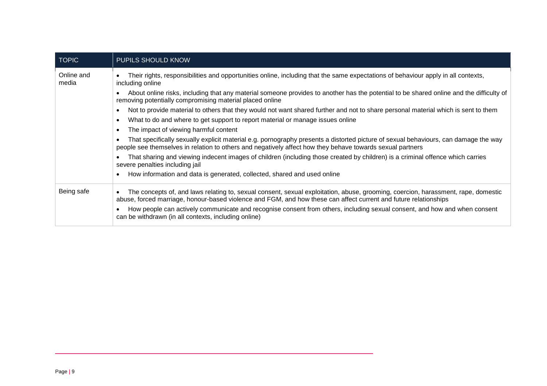| <b>TOPIC</b>        | PUPILS SHOULD KNOW                                                                                                                                                                                                                                            |
|---------------------|---------------------------------------------------------------------------------------------------------------------------------------------------------------------------------------------------------------------------------------------------------------|
| Online and<br>media | Their rights, responsibilities and opportunities online, including that the same expectations of behaviour apply in all contexts,<br>including online                                                                                                         |
|                     | About online risks, including that any material someone provides to another has the potential to be shared online and the difficulty of<br>$\bullet$<br>removing potentially compromising material placed online                                              |
|                     | Not to provide material to others that they would not want shared further and not to share personal material which is sent to them<br>$\bullet$                                                                                                               |
|                     | What to do and where to get support to report material or manage issues online<br>$\bullet$                                                                                                                                                                   |
|                     | The impact of viewing harmful content<br>$\bullet$                                                                                                                                                                                                            |
|                     | That specifically sexually explicit material e.g. pornography presents a distorted picture of sexual behaviours, can damage the way<br>$\bullet$<br>people see themselves in relation to others and negatively affect how they behave towards sexual partners |
|                     | That sharing and viewing indecent images of children (including those created by children) is a criminal offence which carries<br>severe penalties including jail                                                                                             |
|                     | How information and data is generated, collected, shared and used online<br>$\bullet$                                                                                                                                                                         |
| Being safe          | The concepts of, and laws relating to, sexual consent, sexual exploitation, abuse, grooming, coercion, harassment, rape, domestic<br>abuse, forced marriage, honour-based violence and FGM, and how these can affect current and future relationships         |
|                     | How people can actively communicate and recognise consent from others, including sexual consent, and how and when consent<br>can be withdrawn (in all contexts, including online)                                                                             |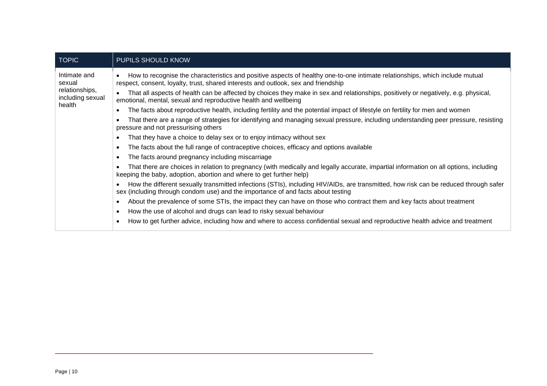| <b>TOPIC</b>                                                           | PUPILS SHOULD KNOW                                                                                                                                                                                                       |
|------------------------------------------------------------------------|--------------------------------------------------------------------------------------------------------------------------------------------------------------------------------------------------------------------------|
| Intimate and<br>sexual<br>relationships,<br>including sexual<br>health | How to recognise the characteristics and positive aspects of healthy one-to-one intimate relationships, which include mutual<br>respect, consent, loyalty, trust, shared interests and outlook, sex and friendship       |
|                                                                        | That all aspects of health can be affected by choices they make in sex and relationships, positively or negatively, e.g. physical,<br>emotional, mental, sexual and reproductive health and wellbeing                    |
|                                                                        | The facts about reproductive health, including fertility and the potential impact of lifestyle on fertility for men and women                                                                                            |
|                                                                        | That there are a range of strategies for identifying and managing sexual pressure, including understanding peer pressure, resisting<br>pressure and not pressurising others                                              |
|                                                                        | That they have a choice to delay sex or to enjoy intimacy without sex                                                                                                                                                    |
|                                                                        | The facts about the full range of contraceptive choices, efficacy and options available                                                                                                                                  |
|                                                                        | The facts around pregnancy including miscarriage                                                                                                                                                                         |
|                                                                        | That there are choices in relation to pregnancy (with medically and legally accurate, impartial information on all options, including<br>keeping the baby, adoption, abortion and where to get further help)             |
|                                                                        | How the different sexually transmitted infections (STIs), including HIV/AIDs, are transmitted, how risk can be reduced through safer<br>sex (including through condom use) and the importance of and facts about testing |
|                                                                        | About the prevalence of some STIs, the impact they can have on those who contract them and key facts about treatment                                                                                                     |
|                                                                        | How the use of alcohol and drugs can lead to risky sexual behaviour                                                                                                                                                      |
|                                                                        | How to get further advice, including how and where to access confidential sexual and reproductive health advice and treatment                                                                                            |